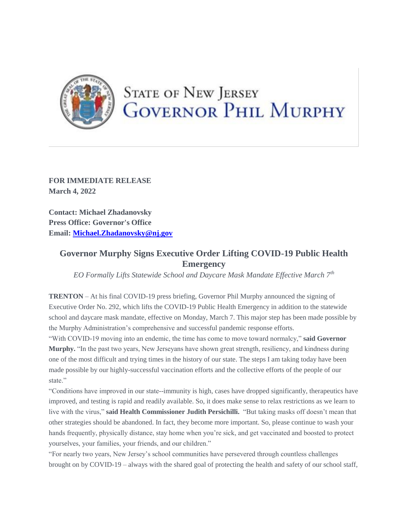

## **STATE OF NEW JERSEY GOVERNOR PHIL MURPHY**

**FOR IMMEDIATE RELEASE March 4, 2022**

**Contact: Michael Zhadanovsky Press Office: Governor's Office Email: [Michael.Zhadanovsky@nj.gov](mailto:Michael.Zhadanovsky@nj.gov)**

## **Governor Murphy Signs Executive Order Lifting COVID-19 Public Health Emergency**

*EO Formally Lifts Statewide School and Daycare Mask Mandate Effective March 7th*

**TRENTON** – At his final COVID-19 press briefing, Governor Phil Murphy announced the signing of Executive Order No. 292, which lifts the COVID-19 Public Health Emergency in addition to the statewide school and daycare mask mandate, effective on Monday, March 7. This major step has been made possible by the Murphy Administration's comprehensive and successful pandemic response efforts.

"With COVID-19 moving into an endemic, the time has come to move toward normalcy," **said Governor Murphy.** "In the past two years, New Jerseyans have shown great strength, resiliency, and kindness during one of the most difficult and trying times in the history of our state. The steps I am taking today have been made possible by our highly-successful vaccination efforts and the collective efforts of the people of our state."

"Conditions have improved in our state--immunity is high, cases have dropped significantly, therapeutics have improved, and testing is rapid and readily available. So, it does make sense to relax restrictions as we learn to live with the virus," **said Health Commissioner Judith Persichilli.** "But taking masks off doesn't mean that other strategies should be abandoned. In fact, they become more important. So, please continue to wash your hands frequently, physically distance, stay home when you're sick, and get vaccinated and boosted to protect yourselves, your families, your friends, and our children."

"For nearly two years, New Jersey's school communities have persevered through countless challenges brought on by COVID-19 – always with the shared goal of protecting the health and safety of our school staff,